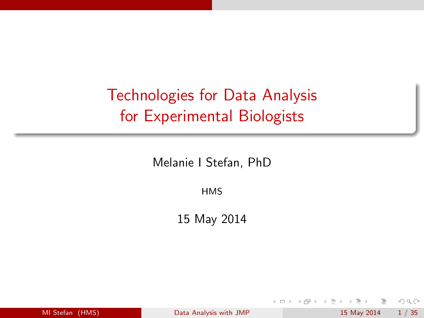# Technologies for Data Analysis for Experimental Biologists

Melanie I Stefan, PhD

**HMS** 

15 May 2014

| MI Stefan (HMS) |  |
|-----------------|--|
|                 |  |

 $\leftarrow$   $\Box$   $\rightarrow$ 

[Data Analysis with JMP](#page-36-0) 15 May 2014 1 / 35

<span id="page-0-0"></span> $\equiv$ 

 $\equiv$ 

÷.  $\,$  $-4$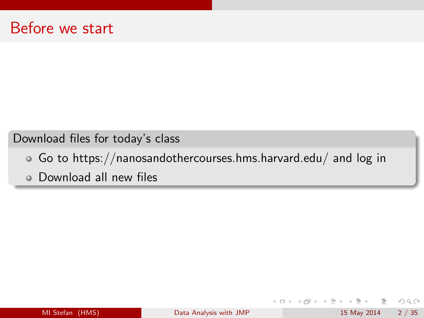Download files for today's class

- Go to https://nanosandothercourses.hms.harvard.edu/ and log in
- Download all new files

イロト イ部 トイモト イモト

 $\equiv$  990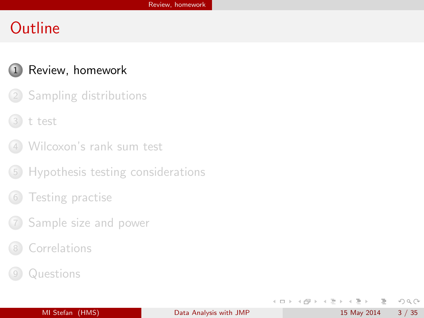#### 1 [Review, homework](#page-2-0)

- 2 [Sampling distributions](#page-8-0)
- 3 [t test](#page-13-0)
- 4 [Wilcoxon's rank sum test](#page-17-0)
- 5 [Hypothesis testing considerations](#page-20-0)
- [Testing practise](#page-29-0)
- 7 [Sample size and power](#page-31-0)
- **[Correlations](#page-33-0)**
- **[Questions](#page-36-0)**

<span id="page-2-0"></span>イロト イ部 トイモト イモト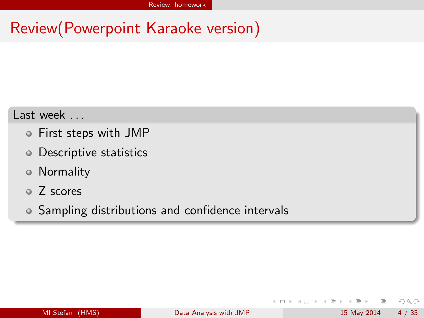# Review(Powerpoint Karaoke version)

#### Last week . . .

- First steps with JMP
- Descriptive statistics
- Normality
- Z scores
- Sampling distributions and confidence intervals

<span id="page-3-0"></span> $OQ$ 

- イヨト イヨト

 $\leftarrow$   $\Box$   $\rightarrow$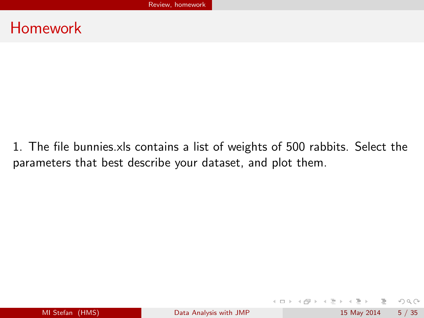1. The file bunnies.xls contains a list of weights of 500 rabbits. Select the parameters that best describe your dataset, and plot them.

<span id="page-4-0"></span> $PQQQ$ 

イロト イ部 トイヨト イヨト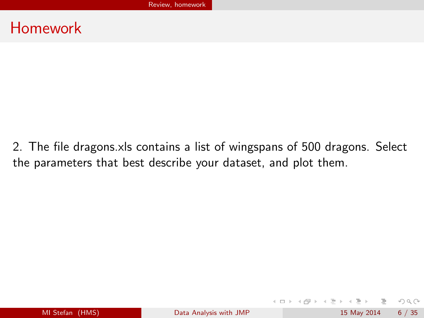2. The file dragons.xls contains a list of wingspans of 500 dragons. Select the parameters that best describe your dataset, and plot them.

<span id="page-5-0"></span> $OQ$ 

イロト イ母 トイラト イラト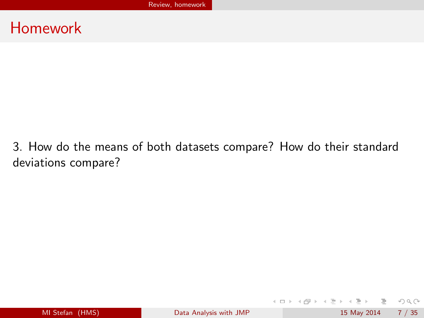3. How do the means of both datasets compare? How do their standard deviations compare?

<span id="page-6-0"></span> $OQ$ 

イロト イ部 トイヨト イヨト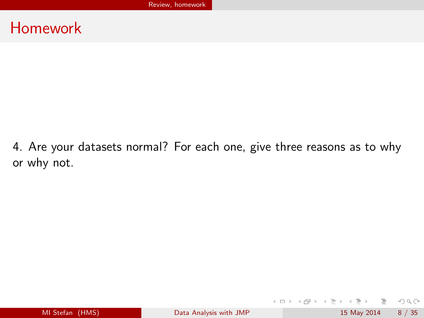4. Are your datasets normal? For each one, give three reasons as to why or why not.

<span id="page-7-0"></span> $OQ$ 

イロト イ部 トイヨト イヨト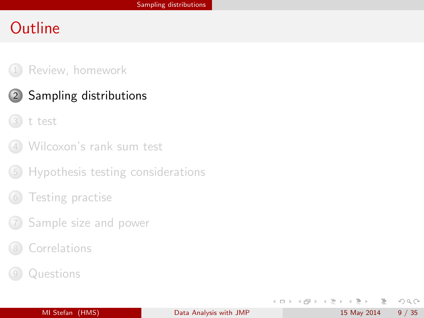#### 1 [Review, homework](#page-2-0)

- 2 [Sampling distributions](#page-8-0)
	- 3 [t test](#page-13-0)
- 4 [Wilcoxon's rank sum test](#page-17-0)
- 5 [Hypothesis testing considerations](#page-20-0)
- [Testing practise](#page-29-0)
- 7 [Sample size and power](#page-31-0)
- **[Correlations](#page-33-0)**
- **[Questions](#page-36-0)**

<span id="page-8-0"></span>イロト イ部 トイモト イヨト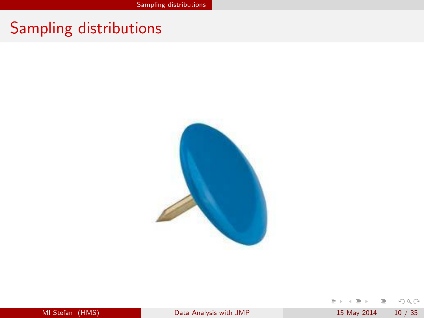# Sampling distributions



| MI Stefan (HMS) |  |
|-----------------|--|
|                 |  |

<span id="page-9-0"></span> $\equiv$  +  $\rightarrow \quad \equiv \quad \rightarrow$  $\equiv$  $OQ$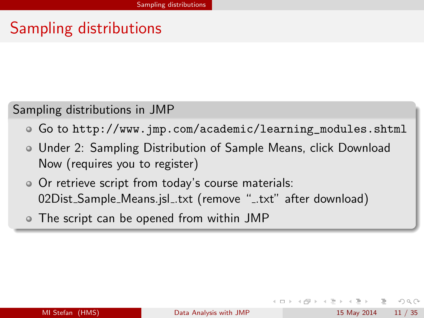# Sampling distributions

#### Sampling distributions in JMP

- Go to [http://www.jmp.com/academic/learning\\_modules.shtml](http://www.jmp.com/academic/learning_modules.shtml)
- Under 2: Sampling Distribution of Sample Means, click Download Now (requires you to register)
- Or retrieve script from today's course materials: 02Dist\_Sample\_Means.jsl\_.txt (remove "\_.txt" after download)
- <span id="page-10-0"></span>The script can be opened from within JMP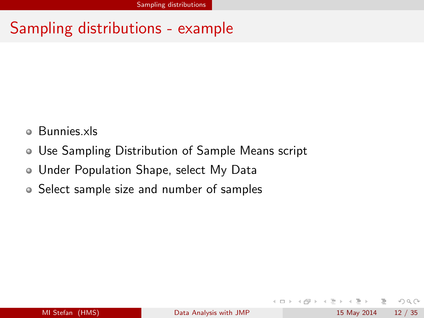# Sampling distributions - example

- Bunnies.xls o.
- Use Sampling Distribution of Sample Means script
- Under Population Shape, select My Data
- Select sample size and number of samples

 $\leftarrow$   $\Box$   $\rightarrow$ 

<span id="page-11-0"></span> $OQ$ 

 $\equiv$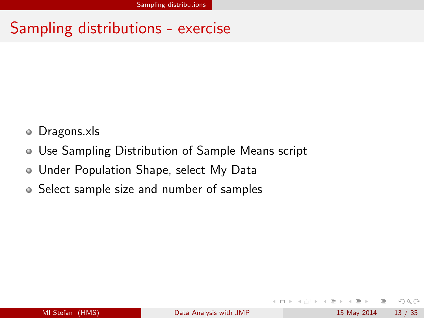### Sampling distributions - exercise

- Dragons.xls  $\bullet$
- Use Sampling Distribution of Sample Means script
- Under Population Shape, select My Data
- Select sample size and number of samples

 $\leftarrow$   $\Box$   $\rightarrow$ 

<span id="page-12-0"></span> $\equiv$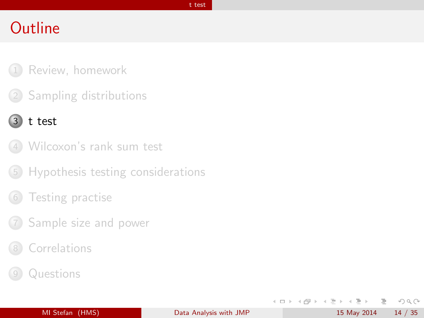#### [t test](#page-13-0)

### **Outline**

- 1 [Review, homework](#page-2-0)
- 2 [Sampling distributions](#page-8-0)

#### 3 [t test](#page-13-0)

- 4 [Wilcoxon's rank sum test](#page-17-0)
- 5 [Hypothesis testing considerations](#page-20-0)
- [Testing practise](#page-29-0)
- 7 [Sample size and power](#page-31-0)
- **[Correlations](#page-33-0)**
- **[Questions](#page-36-0)**

 $\equiv$ 

<span id="page-13-0"></span> $OQ$ 

 $\rightarrow \equiv$   $\rightarrow$ 

 $\mathbb{R}^n$ 

 $\leftarrow$   $\Box$   $\rightarrow$ 

- 4 母 ト - 4 三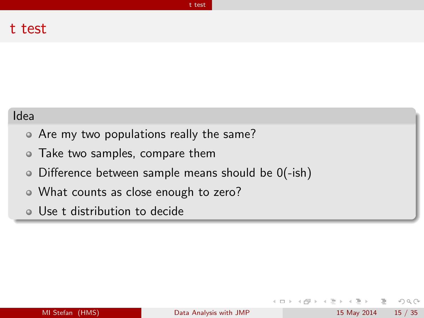#### t test

#### Idea

- Are my two populations really the same?
- Take two samples, compare them
- $\circ$  Difference between sample means should be  $O(-ish)$
- What counts as close enough to zero?
- Use t distribution to decide

<span id="page-14-0"></span> $\leftarrow$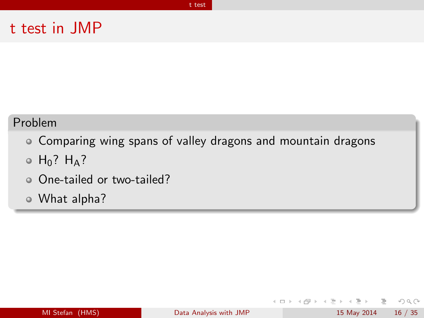#### t test in JMP

#### Problem

Comparing wing spans of valley dragons and mountain dragons

[t test](#page-15-0)

- $\circ$  H<sub>0</sub>? H<sub>A</sub>?
- One-tailed or two-tailed?
- What alpha?

 $\leftarrow$   $\Box$   $\rightarrow$ 

- イラ ト イ ラ ト

<span id="page-15-0"></span> $OQ$ 

 $\rightarrow$   $\equiv$   $\rightarrow$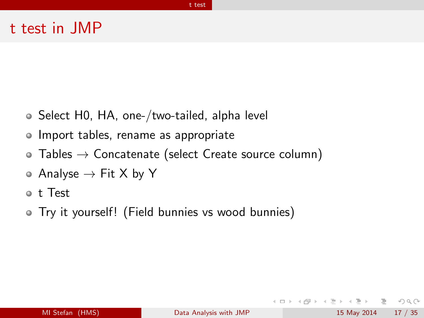#### t test in JMP

- Select H0, HA, one-/two-tailed, alpha level
- Import tables, rename as appropriate
- $\bullet$  Tables  $\rightarrow$  Concatenate (select Create source column)
- $\circ$  Analyse  $\rightarrow$  Fit X by Y
- t Test
- Try it yourself! (Field bunnies vs wood bunnies)

<span id="page-16-0"></span> $\Omega$ 

 $\rightarrow$   $\equiv$   $\rightarrow$ 

**イロト イ母ト イヨ**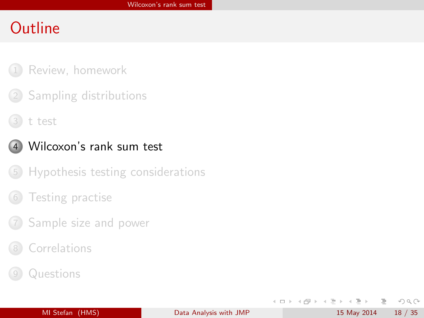- [Review, homework](#page-2-0)
- 2 [Sampling distributions](#page-8-0)
- 3 [t test](#page-13-0)



#### 4 [Wilcoxon's rank sum test](#page-17-0)

- 5 [Hypothesis testing considerations](#page-20-0)
- [Testing practise](#page-29-0)
- 7 [Sample size and power](#page-31-0)
- **[Correlations](#page-33-0)**
- **[Questions](#page-36-0)**

 $\equiv$ 

<span id="page-17-0"></span> $OQ$ 

 $\rightarrow \equiv$   $\rightarrow$ 

イロト イ押 トイヨト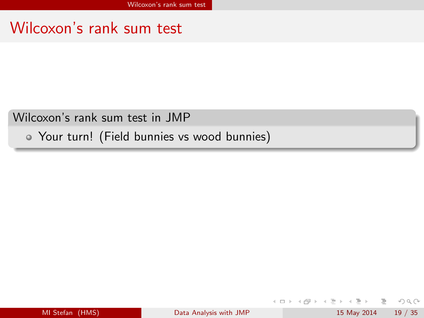### Wilcoxon's rank sum test

Wilcoxon's rank sum test in JMP

Your turn! (Field bunnies vs wood bunnies)

目

<span id="page-18-0"></span> $\Omega$ 

イロト イ部 トイモト イヨト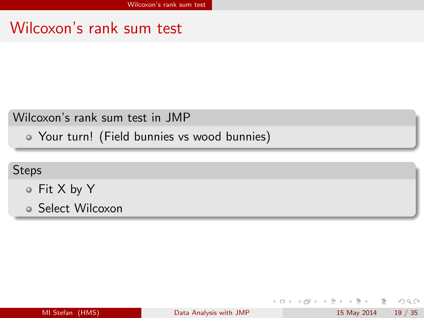### Wilcoxon's rank sum test

#### Wilcoxon's rank sum test in JMP

Your turn! (Field bunnies vs wood bunnies)

#### Steps

- Fit X by Y
- Select Wilcoxon

| MI Stefan (HMS) |  |
|-----------------|--|
|                 |  |
|                 |  |

 $\leftarrow$   $\Box$   $\rightarrow$ 

<span id="page-19-0"></span> $OQ$ 

 $\triangleright$   $\rightarrow$   $\Rightarrow$   $\rightarrow$   $\rightarrow$   $\Rightarrow$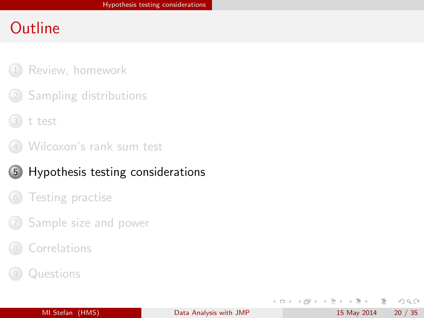- [Review, homework](#page-2-0)
- 2 [Sampling distributions](#page-8-0)
- 3 [t test](#page-13-0)
- 4 [Wilcoxon's rank sum test](#page-17-0)
- 5 [Hypothesis testing considerations](#page-20-0)
	- [Testing practise](#page-29-0)
- 7 [Sample size and power](#page-31-0)
- **[Correlations](#page-33-0)**
- **[Questions](#page-36-0)**

<span id="page-20-0"></span> $OQ$ 

 $\rightarrow \equiv$   $\rightarrow$ 

イロト イ押 トイヨト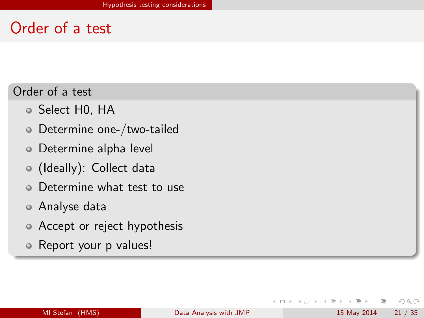### Order of a test

Order of a test

- Select H0, HA
- Determine one-/two-tailed
- Determine alpha level
- (Ideally): Collect data
- Determine what test to use
- Analyse data
- Accept or reject hypothesis
- Report your p values!

 $\leftarrow$   $\Box$   $\rightarrow$ 

<span id="page-21-0"></span> $OQ$ 

 $\equiv$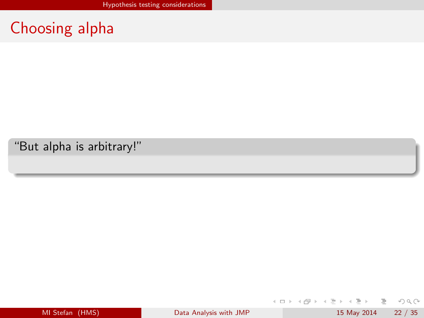# Choosing alpha

"But alpha is arbitrary!"

 $\equiv$ 

<span id="page-22-0"></span> $OQ$ 

 $\rightarrow \equiv$  +

イロト イ母ト イヨト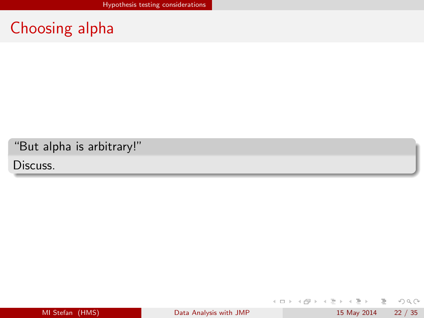# Choosing alpha

"But alpha is arbitrary!"

Discuss.

 $\equiv$ 

<span id="page-23-0"></span> $OQ$ 

 $\rightarrow \equiv$  +

イロト イ母 ト イヨト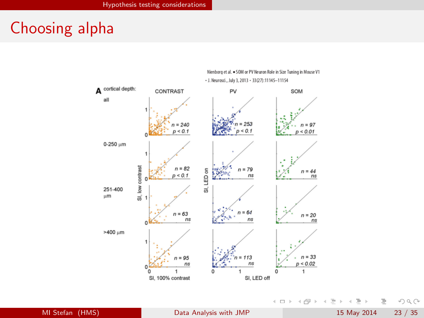### Choosing alpha



Nienborg et al. . SOM or PV Neuron Role in Size Tuning in Mouse V1 - J. Neurosci., July 3, 2013 - 33 (27): 11145-11154

MI Stefan (HMS) **[Data Analysis with JMP](#page-0-0)** 15 May 2014 23 / 35

イロト イ部 トイモト イモト  $\equiv$  $OQ$ 

<span id="page-24-0"></span>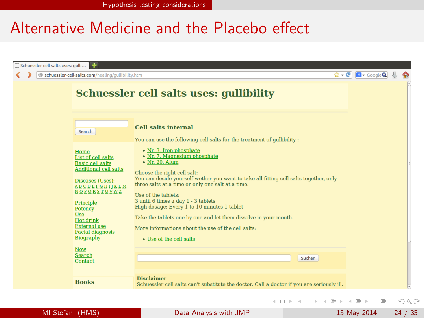[Hypothesis testing considerations](#page-25-0)

### Alternative Medicine and the Placebo effect

| Schuessler cell salts uses: gulli                                                                                                                                                                                                                                                |                                                                                                                                                                                                                                                                                                                                                                                                                                                                                                                          |                                                           |  |
|----------------------------------------------------------------------------------------------------------------------------------------------------------------------------------------------------------------------------------------------------------------------------------|--------------------------------------------------------------------------------------------------------------------------------------------------------------------------------------------------------------------------------------------------------------------------------------------------------------------------------------------------------------------------------------------------------------------------------------------------------------------------------------------------------------------------|-----------------------------------------------------------|--|
| Schuessler-cell-salts.com/healing/gullibility.htm                                                                                                                                                                                                                                |                                                                                                                                                                                                                                                                                                                                                                                                                                                                                                                          | $\hat{\mathbf{G}}$ - $\mathbf{C}$ $\mathbf{R}$ - Google Q |  |
|                                                                                                                                                                                                                                                                                  | Schuessler cell salts uses: gullibility                                                                                                                                                                                                                                                                                                                                                                                                                                                                                  |                                                           |  |
| Search                                                                                                                                                                                                                                                                           | <b>Cell salts internal</b><br>You can use the following cell salts for the treatment of qullibility :                                                                                                                                                                                                                                                                                                                                                                                                                    |                                                           |  |
| Home<br>List of cell salts<br><b>Basic cell salts</b><br><b>Additional cell salts</b><br>Diseases (Uses):<br><b>ABCDEFGHIIKLM</b><br>NOPORSTUVWZ<br>Principle<br>Potency<br><b>Use</b><br><b>Hot drink</b><br><b>External</b> use<br><b>Facial diagnosis</b><br><b>Biography</b> | • Nr. 3. Iron phosphate<br>• Nr. 7. Magnesium phosphate<br>• Nr. 20. Alum<br>Choose the right cell salt:<br>You can deside yourself wether you want to take all fitting cell salts together, only<br>three salts at a time or only one salt at a time.<br>Use of the tablets:<br>3 until 6 times a day 1 - 3 tablets<br>High dosage: Every 1 to 10 minutes 1 tablet<br>Take the tablets one by one and let them dissolve in your mouth.<br>More informations about the use of the cell salts:<br>• Use of the cell salts |                                                           |  |
| <b>New</b><br>Search<br>Contact                                                                                                                                                                                                                                                  | Suchen                                                                                                                                                                                                                                                                                                                                                                                                                                                                                                                   |                                                           |  |
| <b>Books</b>                                                                                                                                                                                                                                                                     | <b>Disclaimer</b><br>Schuessler cell salts can't substitute the doctor. Call a doctor if you are seriously ill.                                                                                                                                                                                                                                                                                                                                                                                                          |                                                           |  |

MI Stefan (HMS) [Data Analysis with JMP](#page-0-0) 15 May 2014 24 / 35

<span id="page-25-0"></span> $E \nabla Q \propto$ 

 $\left\{ \begin{array}{ccc} 1 & 0 & 0 \\ 0 & 1 & 0 \end{array} \right\}$  ,  $\left\{ \begin{array}{ccc} 0 & 0 & 0 \\ 0 & 0 & 0 \end{array} \right\}$  ,  $\left\{ \begin{array}{ccc} 0 & 0 & 0 \\ 0 & 0 & 0 \end{array} \right\}$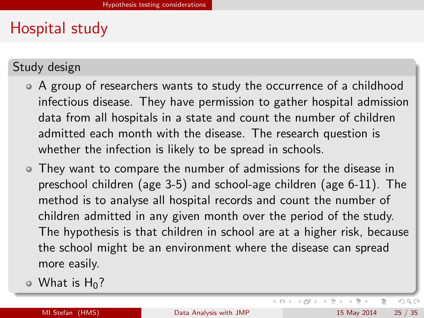# Hospital study

Study design

- A group of researchers wants to study the occurrence of a childhood infectious disease. They have permission to gather hospital admission data from all hospitals in a state and count the number of children admitted each month with the disease. The research question is whether the infection is likely to be spread in schools.
- They want to compare the number of admissions for the disease in preschool children (age 3-5) and school-age children (age 6-11). The method is to analyse all hospital records and count the number of children admitted in any given month over the period of the study. The hypothesis is that children in school are at a higher risk, because the school might be an environment where the disease can spread more easily.
- $\circ$  What is H<sub>0</sub>?

<span id="page-26-0"></span> $\rightarrow \equiv$   $\rightarrow$ 

イロト イ母 ト イヨト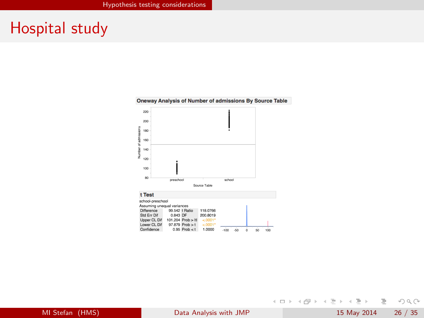### Hospital study



#### Oneway Analysis of Number of admissions By Source Table

MI Stefan (HMS) [Data Analysis with JMP](#page-0-0) 15 May 2014 26 / 35

<span id="page-27-0"></span>ミ りへへ

イロト イ部 トイヨト イヨト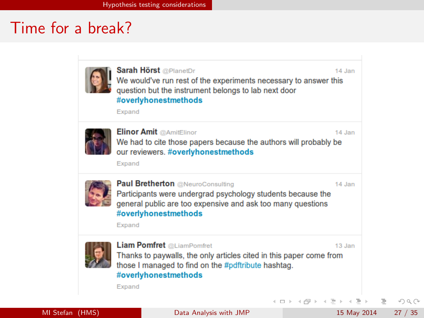### Time for a break?

<span id="page-28-0"></span>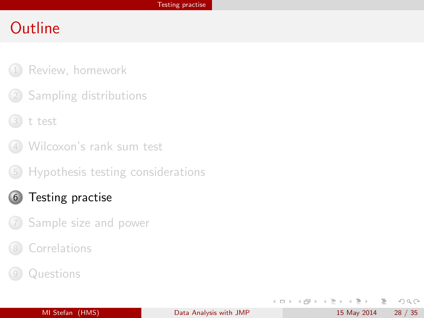- [Review, homework](#page-2-0)
- 2 [Sampling distributions](#page-8-0)
- 3 [t test](#page-13-0)
- 4 [Wilcoxon's rank sum test](#page-17-0)
- 5 [Hypothesis testing considerations](#page-20-0)
- 6 [Testing practise](#page-29-0)
- 7 [Sample size and power](#page-31-0)
- **[Correlations](#page-33-0)**
- **[Questions](#page-36-0)**

 $\equiv$ 

<span id="page-29-0"></span> $OQ$ 

 $\rightarrow \equiv$   $\rightarrow$ 

ィロト ィ母 ト ィミト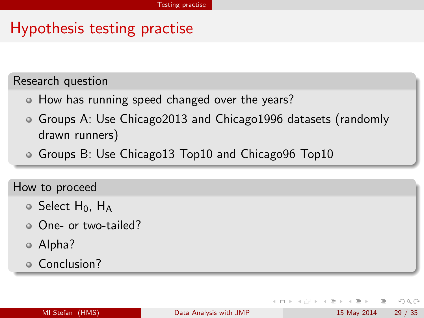# Hypothesis testing practise

Research question

- How has running speed changed over the years?
- Groups A: Use Chicago2013 and Chicago1996 datasets (randomly drawn runners)
- Groups B: Use Chicago13 Top10 and Chicago96 Top10

How to proceed

- $\circ$  Select H<sub>0</sub>, H<sub>4</sub>
- One- or two-tailed?
- Alpha?
- o Conclusion?

<span id="page-30-0"></span> $OQ$ 

 $\rightarrow \equiv$   $\rightarrow$ 

∢ ロ ▶ . ィ *同* ▶ . ィ ヨ ▶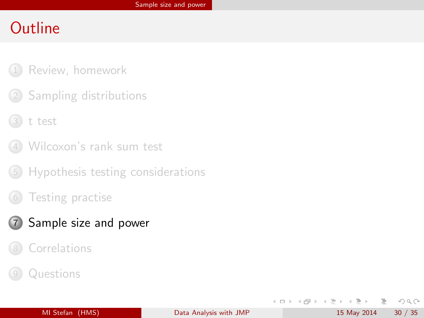- [Review, homework](#page-2-0)
- 2 [Sampling distributions](#page-8-0)
- 3 [t test](#page-13-0)
- 4 [Wilcoxon's rank sum test](#page-17-0)
- 5 [Hypothesis testing considerations](#page-20-0)
- [Testing practise](#page-29-0)
- 7 [Sample size and power](#page-31-0)
	- **[Correlations](#page-33-0)**
- **[Questions](#page-36-0)**

<span id="page-31-0"></span> $OQ$ 

 $\rightarrow \equiv$   $\rightarrow$ 

 $\,$ 

 $\leftarrow$   $\Box$   $\rightarrow$ 

- 4 母 ト - ィ ヨ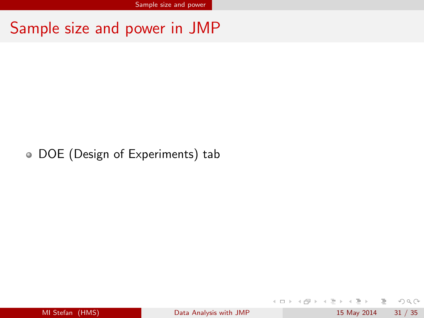Sample size and power in JMP

#### DOE (Design of Experiments) tab

MI Stefan (HMS) **[Data Analysis with JMP](#page-0-0)** 15 May 2014 31 / 35

 $-4$   $\equiv$   $+$ 

イロト イ母ト イヨト

<span id="page-32-0"></span> $\equiv$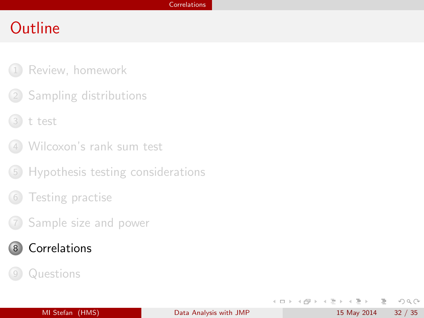- [Review, homework](#page-2-0)
- 2 [Sampling distributions](#page-8-0)
- 3 [t test](#page-13-0)
- 4 [Wilcoxon's rank sum test](#page-17-0)
- 5 [Hypothesis testing considerations](#page-20-0)
- [Testing practise](#page-29-0)
- 7 [Sample size and power](#page-31-0)
- 8 [Correlations](#page-33-0)
	- **[Questions](#page-36-0)**

<span id="page-33-0"></span> $OQ$ 

 $\rightarrow \equiv$   $\rightarrow$ 

 $\,$ 

 $\leftarrow$   $\Box$   $\rightarrow$ 

- 4 母 ト - ィ ヨ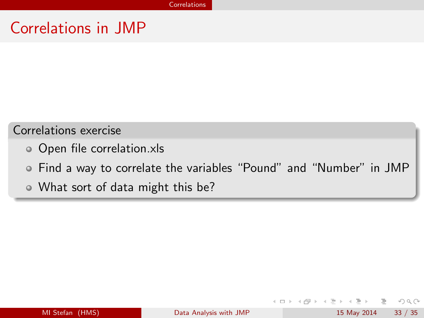## Correlations in JMP

#### Correlations exercise

- Open file correlation.xls
- Find a way to correlate the variables "Pound" and "Number" in JMP
- What sort of data might this be?

 $\leftarrow$   $\Box$   $\rightarrow$ 

<span id="page-34-0"></span> $OQ$ 

 $\rightarrow \equiv$   $\rightarrow$ 

÷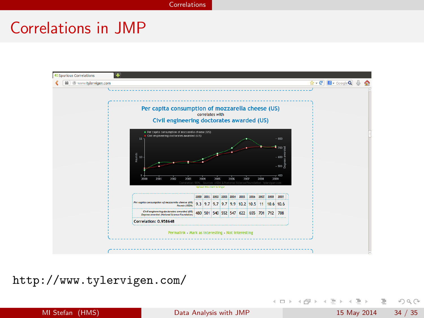[Correlations](#page-35-0)

# Correlations in JMP



<http://www.tylervigen.com/>

- 3 MI Stefan (HMS) **[Data Analysis with JMP](#page-0-0)** 15 May 2014 34 / 35

<span id="page-35-0"></span> $\mathcal{O} \curvearrowright \curvearrowright$ 

イロト イ部 トイモト イモト